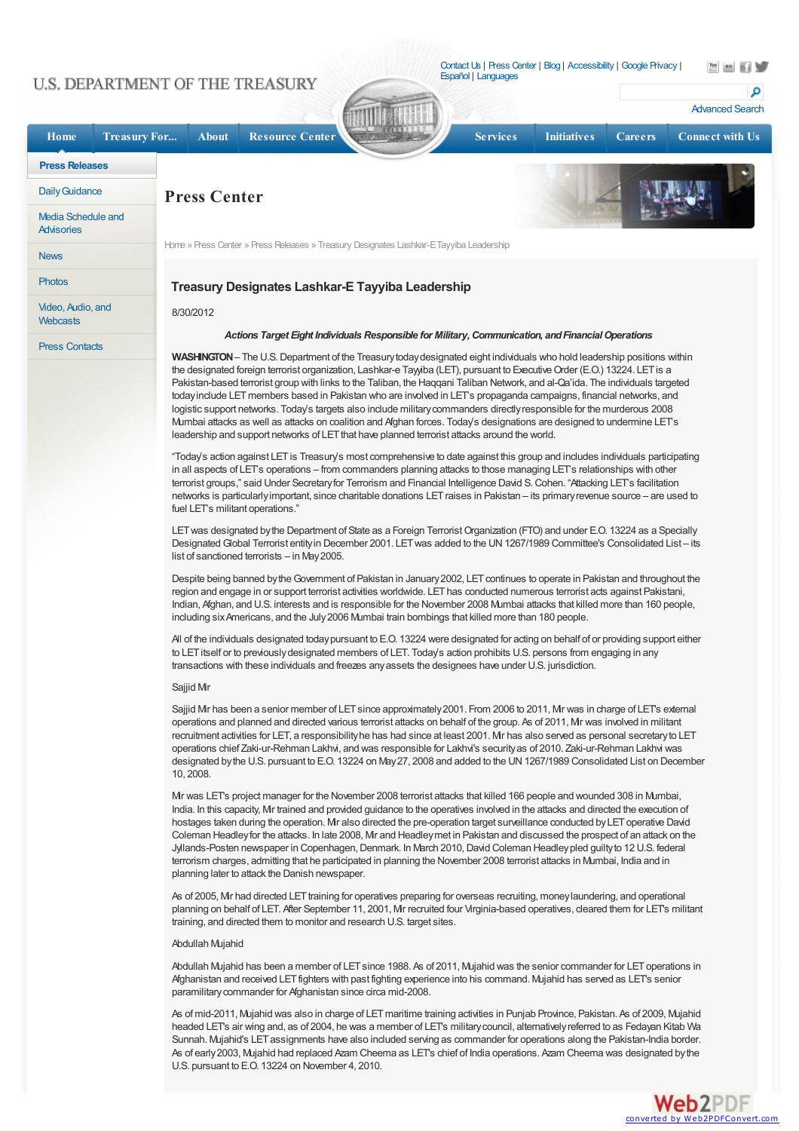

Despite being banned by the Government of Pakistan in January 2002, LET continues to operate in Pakistan and throughout the region and engage in or support terrorist activities worldwide. LEThas conducted numerous terrorist acts against Pakistani, Indian, Afghan, and U.S. interests and is responsible for the November 2008 Mumbai attacks that killed more than 160 people, including sixAmericans, and the July2006 Mumbai train bombings that killed more than 180 people.

All of the individuals designated todaypursuant to E.O. 13224 were designated for acting on behalf of or providing support either to LET itself or to previously designated members of LET. Today's action prohibits U.S. persons from engaging in any transactions with these individuals and freezes anyassets the designees have under U.S. jurisdiction.

#### Sajjid Mir

Sajjid Mr has been a senior member of LET since approximately 2001. From 2006 to 2011, Mr was in charge of LET's external operations and planned and directed various terrorist attacks on behalf of the group. As of 2011, Mir was involved in militant recruitment activities for LET, a responsibilityhe has had since at least 2001. Mir has also served as personal secretaryto LET operations chief Zaki-ur-Rehman Lakhvi, and was responsible for Lakhvi's securityas of 2010. Zaki-ur-Rehman Lakhvi was designated by the U.S. pursuant to E.O. 13224 on May 27, 2008 and added to the UN 1267/1989 Consolidated List on December 10, 2008.

Mir was LET's project manager for the November 2008 terrorist attacks that killed 166 people and wounded 308 in Mumbai, India. In this capacity, Mir trained and provided guidance to the operatives involved in the attacks and directed the execution of hostages taken during the operation. Mir also directed the pre-operation target surveillance conducted by LET operative David Coleman Headleyfor the attacks. In late 2008, Mir and Headleymet in Pakistan and discussed the prospect of an attack on the Jyllands-Posten newspaper in Copenhagen, Denmark. In March 2010, David Coleman Headleypled guiltyto 12 U.S. federal terrorism charges, admitting that he participated in planning the November 2008 terrorist attacks in Mumbai, India and in planning later to attack the Danish newspaper.

As of 2005, Mr had directed LET training for operatives preparing for overseas recruiting, money laundering, and operational planning on behalf of LET. After September 11, 2001, Mr recruited four Virginia-based operatives, cleared them for LET's militant training, and directed them to monitor and research U.S. target sites.

## Abdullah Mujahid

Abdullah Mujahid has been a member of LET since 1988. As of 2011, Mujahid was the senior commander for LET operations in Afghanistan and received LET fighters with past fighting experience into his command. Mujahid has served as LET's senior paramilitarycommander for Afghanistan since circa mid-2008.

As of mid-2011, Mujahid was also in charge of LETmaritime training activities in Punjab Province, Pakistan. As of 2009, Mujahid headed LET's air wing and, as of 2004, he was a member of LET's militarycouncil, alternativelyreferred to as Fedayan Kitab Wa Sunnah. Mujahid's LETassignments have also included serving as commander for operations along the Pakistan-India border. As of early2003, Mujahid had replaced Azam Cheema as LET's chief of India operations. Azam Cheema was designated bythe U.S. pursuant to E.O. 13224 on November 4, 2010.

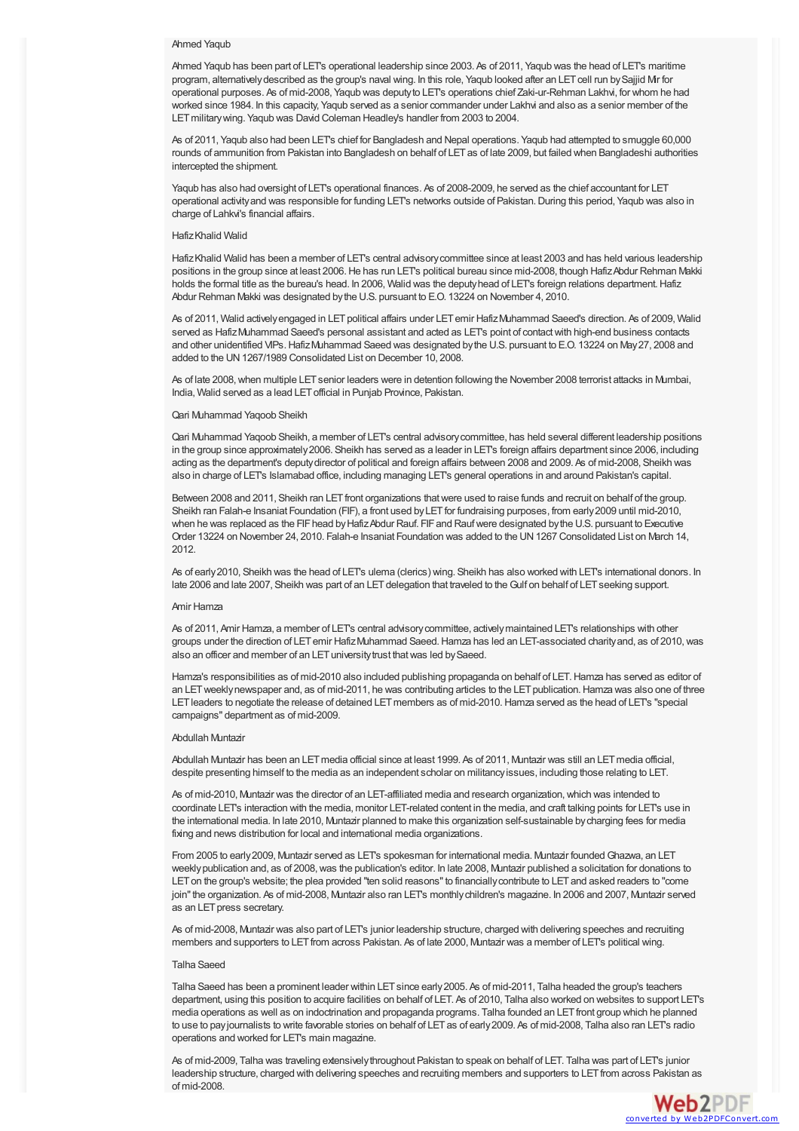#### Ahmed Yaqub

Ahmed Yaqub has been part of LET's operational leadership since 2003. As of 2011, Yaqub was the head of LET's maritime program, alternatively described as the group's naval wing. In this role, Yaqub looked after an LET cell run by Sajjid Mr for operational purposes. As of mid-2008, Yaqub was deputyto LET's operations chief Zaki-ur-Rehman Lakhvi, for whom he had worked since 1984. In this capacity, Yaqub served as a senior commander under Lakhvi and also as a senior member of the LET military wing. Yaqub was David Coleman Headley's handler from 2003 to 2004.

As of 2011, Yaqub also had been LET's chief for Bangladesh and Nepal operations. Yaqub had attempted to smuggle 60,000 rounds of ammunition from Pakistan into Bangladesh on behalf of LET as of late 2009, but failed when Bangladeshi authorities intercepted the shipment.

Yaqub has also had oversight of LET's operational finances. As of 2008-2009, he served as the chief accountant for LET operational activityand was responsible for funding LET's networks outside of Pakistan.During this period, Yaqub was also in charge of Lahkvi's financial affairs.

#### HafizKhalid Walid

Hafiz Khalid Walid has been a member of LET's central advisory committee since at least 2003 and has held various leadership positions in the group since at least 2006. He has run LET's political bureau since mid-2008, though Hafiz Abdur Rehman Makki holds the formal title as the bureau's head. In 2006, Walid was the deputy head of LET's foreign relations department. Hafiz Abdur Rehman Makki was designated bythe U.S. pursuant to E.O. 13224 on November 4, 2010.

As of 2011, Walid actively engaged in LET political affairs under LET emir Hafiz Muhammad Saeed's direction. As of 2009, Walid served as Hafiz Muhammad Saeed's personal assistant and acted as LET's point of contact with high-end business contacts and other unidentified VIPs.HafizMuhammad Saeed was designated bythe U.S. pursuant to E.O. 13224 on May27, 2008 and added to the UN 1267/1989 Consolidated List on December 10, 2008.

As of late 2008, when multiple LET senior leaders were in detention following the November 2008 terrorist attacks in Mumbai, India, Walid served as a lead LETofficial in Punjab Province, Pakistan.

#### Qari Muhammad Yaqoob Sheikh

Qari Muhammad Yaqoob Sheikh, a member of LET's central advisorycommittee, has held several different leadership positions in the group since approximately 2006. Sheikh has served as a leader in LET's foreign affairs department since 2006, including acting as the department's deputydirector of political and foreign affairs between 2008 and 2009. As of mid-2008, Sheikh was also in charge of LET's Islamabad office, including managing LET's general operations in and around Pakistan's capital.

Between 2008 and 2011, Sheikh ran LET front organizations that were used to raise funds and recruit on behalf of the group. Sheikh ran Falah-e Insaniat Foundation (FIF), a front used by LET for fundraising purposes, from early 2009 until mid-2010, when he was replaced as the FIF head by Hafiz Abdur Rauf. FIF and Rauf were designated by the U.S. pursuant to Executive Order 13224 on November 24, 2010. Falah-e Insaniat Foundation was added to the UN1267 Consolidated List on March 14, 2012.

As of early 2010, Sheikh was the head of LET's ulema (clerics) wing. Sheikh has also worked with LET's international donors. In late 2006 and late 2007, Sheikh was part of an LET delegation that traveled to the Gulf on behalf of LET seeking support.

# Amir Hamza

As of 2011, Amir Hamza, a member of LET's central advisorycommittee, activelymaintained LET's relationships with other groups under the direction of LET emir Hafiz Muhammad Saeed. Hamza has led an LET-associated charity and, as of 2010, was also an officer and member of an LET university trust that was led by Saeed.

Hamza's responsibilities as of mid-2010 also included publishing propaganda on behalf of LET. Hamza has served as editor of an LET weeklynewspaper and, as of mid-2011, he was contributing articles to the LET publication. Hamza was also one of three LET leaders to negotiate the release of detained LET members as of mid-2010. Hamza served as the head of LET's "special campaigns" department as of mid-2009.

#### Abdullah Muntazir

Abdullah Muntazir has been an LETmedia official since at least 1999. As of 2011, Muntazir was still an LETmedia official, despite presenting himself to the media as an independent scholar on militancyissues, including those relating to LET.

As of mid-2010, Muntazir was the director of an LET-affiliated media and research organization,which was intended to coordinate LET's interaction with the media, monitor LET-related content in the media, and craft talking points for LET's use in the international media. In late 2010, Muntazir planned to make this organization self-sustainable bycharging fees for media fixing and news distribution for local and international media organizations.

From 2005 to early 2009, Muntazir served as LET's spokesman for international media. Muntazir founded Ghazwa, an LET weeklypublication and, as of 2008,was the publication's editor. In late 2008, Muntazir published a solicitation for donations to LETon the group's website; the plea provided "ten solid reasons"to financiallycontribute to LETand asked readers to "come join" the organization. As of mid-2008, Muntazir also ran LET's monthly children's magazine. In 2006 and 2007, Muntazir served as an LET press secretary.

As of mid-2008, Muntazir was also part of LET's junior leadership structure, charged with delivering speeches and recruiting members and supporters to LET from across Pakistan. As of late 2000, Muntazir was a member of LET's political wing.

#### Talha Saeed

Talha Saeed has been a prominent leader within LET since early 2005. As of mid-2011, Talha headed the group's teachers department, using this position to acquire facilities on behalf of LET. As of 2010, Talha also worked on websites to support LET's media operations as well as on indoctrination and propaganda programs. Talha founded an LET front group which he planned to use to pay journalists to write favorable stories on behalf of LET as of early 2009. As of mid-2008, Talha also ran LET's radio operations and worked for LET's main magazine.

As of mid-2009, Talha was traveling extensivelythroughout Pakistan to speak on behalf of LET. Talha was part of LET's junior leadership structure, charged with delivering speeches and recruiting members and supporters to LETfrom across Pakistan as of mid-2008.

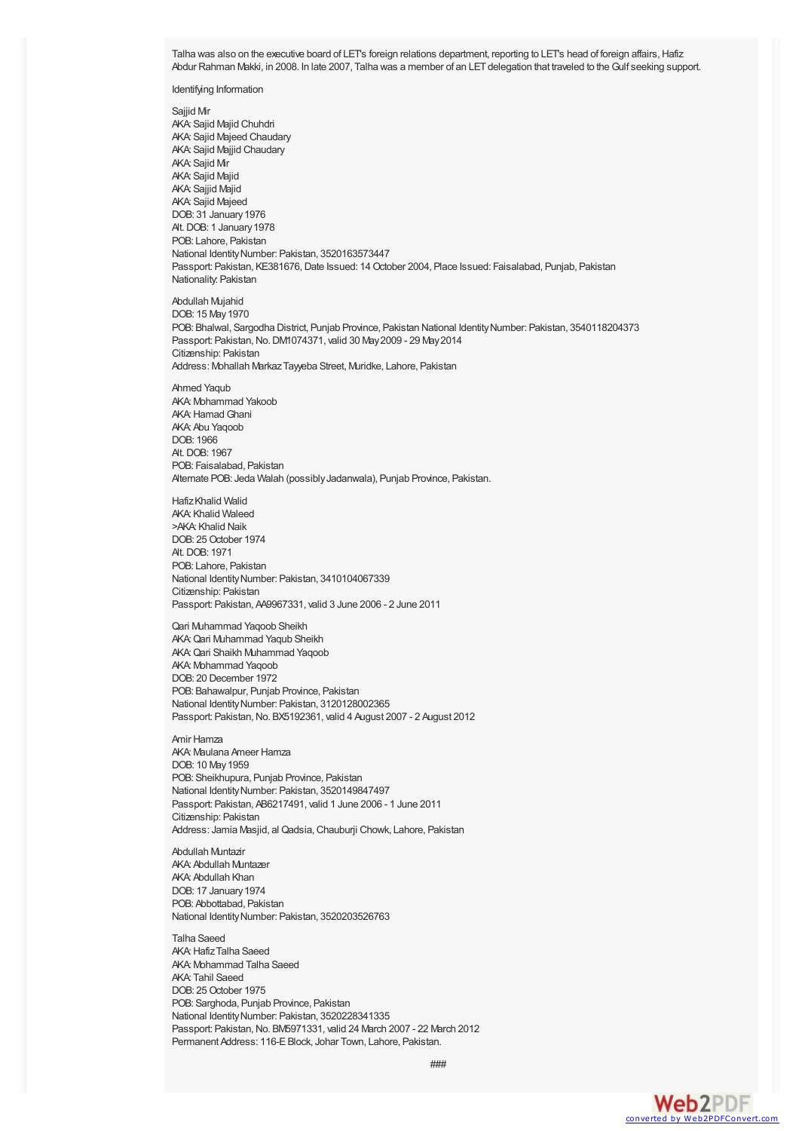Talha was also on the executive board of LET's foreign relations department, reporting to LET's head of foreign affairs, Hafiz Abdur Rahman Makki, in 2008. In late 2007, Talha was a member of an LET delegation that traveled to the Gulf seeking support.

Identifying Information

Sajjid Mir

AKA: Sajid Majid Chuhdri AKA: Sajid Majeed Chaudary AKA: Sajid Majjid Chaudary AKA: Sajid Mir AKA: Sajid Majid AKA: Sajjid Majid AKA: Sajid Majeed DOB: 31 January 1976 Alt. DOB: 1 January 1978 POB: Lahore, Pakistan National IdentityNumber: Pakistan, 3520163573447 Passport: Pakistan, KE381676, Date Issued: 14 October 2004, Place Issued: Faisalabad, Punjab, Pakistan Nationality: Pakistan

Abdullah Mujahid DOB: 15 May1970 POB: Bhalwal, Sargodha District, Punjab Province, Pakistan National Identity Number: Pakistan, 3540118204373 Passport: Pakistan,No.DM1074371, valid 30 May2009 - 29 May2014 Citizenship: Pakistan Address: Mohallah Markaz Taweba Street, Muridke, Lahore, Pakistan

Ahmed Yaqub AKA: Mohammad Yakoob **AKA: Hamad Ghani** AKA: Abu Yaqoob DOB: 1966 Alt.DOB: 1967 POB: Faisalabad, Pakistan Alternate POB: Jeda Walah (possiblyJadanwala), Punjab Province, Pakistan.

HafizKhalid Walid AKA: Khalid Waleed >AKA: Khalid Naik DOB: 25 October 1974 Alt.DOB: 1971 POB: Lahore, Pakistan National IdentityNumber: Pakistan, 3410104067339 Citizenship: Pakistan Passport: Pakistan, AA9967331, valid 3 June 2006 - 2 June 2011

Qari Muhammad Yaqoob Sheikh AKA:Qari Muhammad Yaqub Sheikh AKA:Qari Shaikh Muhammad Yaqoob AKA: Mohammad Yaqoob DOB: 20 December 1972 POB: Bahawalpur, Punjab Province, Pakistan National IdentityNumber: Pakistan, 3120128002365 Passport: Pakistan,No. BX5192361, valid 4 August 2007 - 2 August 2012

Amir Hamza AKA: Maulana Ameer Hamza DOB: 10 May 1959 POB: Sheikhupura, Punjab Province, Pakistan National IdentityNumber: Pakistan, 3520149847497 Passport: Pakistan, AB6217491, valid 1 June 2006 - 1 June 2011 Citizenship: Pakistan Address: Jamia Masjid, al Qadsia, Chauburji Chowk, Lahore, Pakistan

Abdullah Muntazir AKA: Abdullah Muntazer AKA: Abdullah Khan DOB: 17 January 1974 POB: Abbottabad, Pakistan National IdentityNumber: Pakistan, 3520203526763

Talha Saeed AKA:HafizTalha Saeed AKA: Mohammad Talha Saeed AKA: Tahil Saeed DOB: 25 October 1975 POB: Sarghoda, Punjab Province, Pakistan National IdentityNumber: Pakistan, 3520228341335 Passport: Pakistan, No. BM5971331, valid 24 March 2007 - 22 March 2012 Permanent Address: 116-E Block, Johar Town, Lahore, Pakistan.